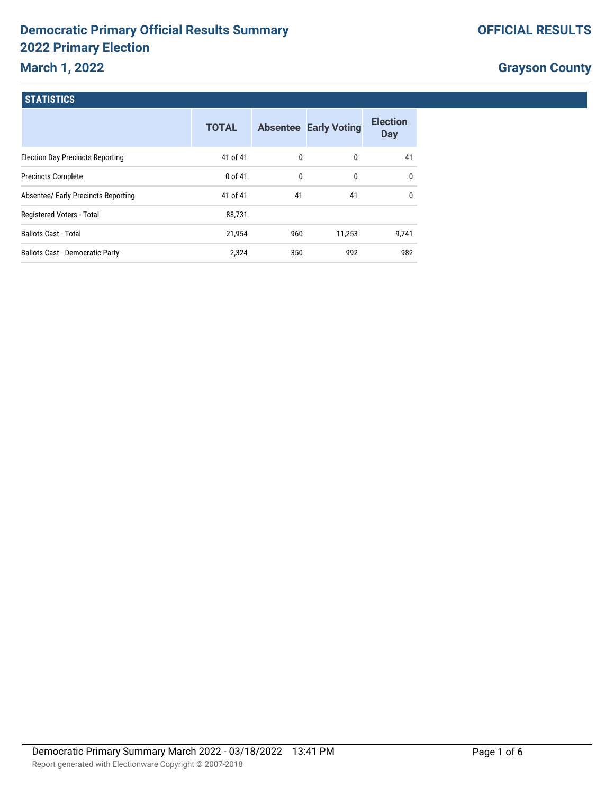# **Democratic Primary Official Results Summary 2022 Primary Election**

## **March 1, 2022**

|  | <b>OFFICIAL RESULTS</b> |
|--|-------------------------|
|--|-------------------------|

# **Grayson County**

#### **STATISTICS**

|                                         | <b>TOTAL</b> |              | <b>Absentee Early Voting</b> | <b>Election</b><br><b>Day</b> |
|-----------------------------------------|--------------|--------------|------------------------------|-------------------------------|
| <b>Election Day Precincts Reporting</b> | 41 of 41     | $\mathbf{0}$ | 0                            | 41                            |
| <b>Precincts Complete</b>               | $0$ of 41    | 0            | 0                            | $\mathbf{0}$                  |
| Absentee/ Early Precincts Reporting     | 41 of 41     | 41           | 41                           | $\mathbf{0}$                  |
| Registered Voters - Total               | 88,731       |              |                              |                               |
| <b>Ballots Cast - Total</b>             | 21.954       | 960          | 11.253                       | 9.741                         |
| <b>Ballots Cast - Democratic Party</b>  | 2,324        | 350          | 992                          | 982                           |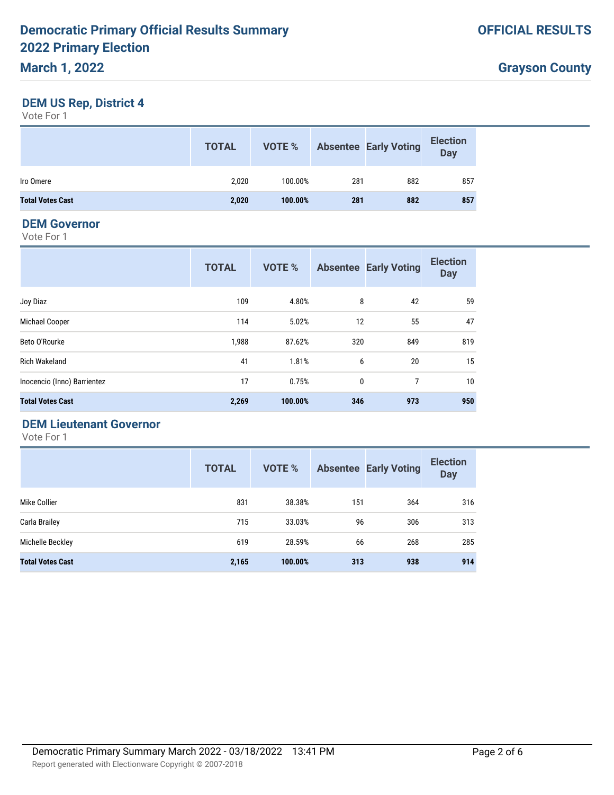### **DEM US Rep, District 4**

Vote For 1

|                         | <b>TOTAL</b> | VOTE %  |     | <b>Absentee Early Voting</b> | <b>Election</b><br><b>Day</b> |
|-------------------------|--------------|---------|-----|------------------------------|-------------------------------|
| Iro Omere               | 2.020        | 100.00% | 281 | 882                          | 857                           |
| <b>Total Votes Cast</b> | 2,020        | 100.00% | 281 | 882                          | 857                           |

### **DEM Governor**

Vote For 1

|                             | <b>TOTAL</b> | <b>VOTE %</b> |     | <b>Absentee Early Voting</b> | <b>Election</b><br><b>Day</b> |
|-----------------------------|--------------|---------------|-----|------------------------------|-------------------------------|
| Joy Diaz                    | 109          | 4.80%         | 8   | 42                           | 59                            |
| Michael Cooper              | 114          | 5.02%         | 12  | 55                           | 47                            |
| Beto O'Rourke               | 1,988        | 87.62%        | 320 | 849                          | 819                           |
| <b>Rich Wakeland</b>        | 41           | 1.81%         | 6   | 20                           | 15                            |
| Inocencio (Inno) Barrientez | 17           | 0.75%         | 0   | 7                            | 10                            |
| <b>Total Votes Cast</b>     | 2,269        | 100.00%       | 346 | 973                          | 950                           |

### **DEM Lieutenant Governor**

|                         | <b>TOTAL</b> | <b>VOTE %</b> |     | <b>Absentee Early Voting</b> | <b>Election</b><br><b>Day</b> |
|-------------------------|--------------|---------------|-----|------------------------------|-------------------------------|
| Mike Collier            | 831          | 38.38%        | 151 | 364                          | 316                           |
| Carla Brailey           | 715          | 33.03%        | 96  | 306                          | 313                           |
| Michelle Beckley        | 619          | 28.59%        | 66  | 268                          | 285                           |
| <b>Total Votes Cast</b> | 2,165        | 100.00%       | 313 | 938                          | 914                           |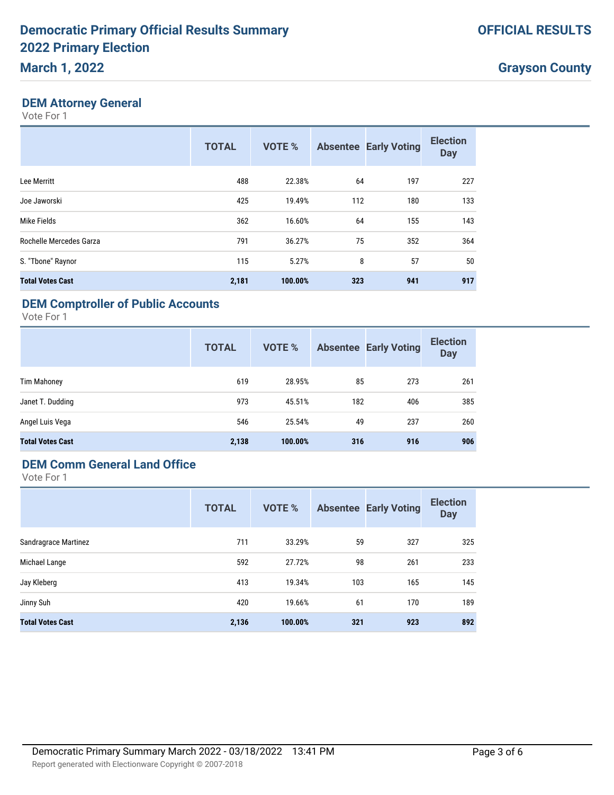#### **DEM Attorney General**

Vote For 1

|                         | <b>TOTAL</b> | <b>VOTE %</b> |     | <b>Absentee Early Voting</b> | <b>Election</b><br><b>Day</b> |
|-------------------------|--------------|---------------|-----|------------------------------|-------------------------------|
| Lee Merritt             | 488          | 22.38%        | 64  | 197                          | 227                           |
| Joe Jaworski            | 425          | 19.49%        | 112 | 180                          | 133                           |
| Mike Fields             | 362          | 16.60%        | 64  | 155                          | 143                           |
| Rochelle Mercedes Garza | 791          | 36.27%        | 75  | 352                          | 364                           |
| S. "Tbone" Raynor       | 115          | 5.27%         | 8   | 57                           | 50                            |
| <b>Total Votes Cast</b> | 2,181        | 100.00%       | 323 | 941                          | 917                           |

### **DEM Comptroller of Public Accounts**

Vote For 1

|                         | <b>TOTAL</b> | <b>VOTE %</b> |     | <b>Absentee Early Voting</b> | <b>Election</b><br><b>Day</b> |
|-------------------------|--------------|---------------|-----|------------------------------|-------------------------------|
| <b>Tim Mahoney</b>      | 619          | 28.95%        | 85  | 273                          | 261                           |
| Janet T. Dudding        | 973          | 45.51%        | 182 | 406                          | 385                           |
| Angel Luis Vega         | 546          | 25.54%        | 49  | 237                          | 260                           |
| <b>Total Votes Cast</b> | 2,138        | 100.00%       | 316 | 916                          | 906                           |

### **DEM Comm General Land Office**

|                         | <b>TOTAL</b> | <b>VOTE %</b> |     | <b>Absentee Early Voting</b> | <b>Election</b><br><b>Day</b> |
|-------------------------|--------------|---------------|-----|------------------------------|-------------------------------|
| Sandragrace Martinez    | 711          | 33.29%        | 59  | 327                          | 325                           |
| Michael Lange           | 592          | 27.72%        | 98  | 261                          | 233                           |
| Jay Kleberg             | 413          | 19.34%        | 103 | 165                          | 145                           |
| Jinny Suh               | 420          | 19.66%        | 61  | 170                          | 189                           |
| <b>Total Votes Cast</b> | 2,136        | 100.00%       | 321 | 923                          | 892                           |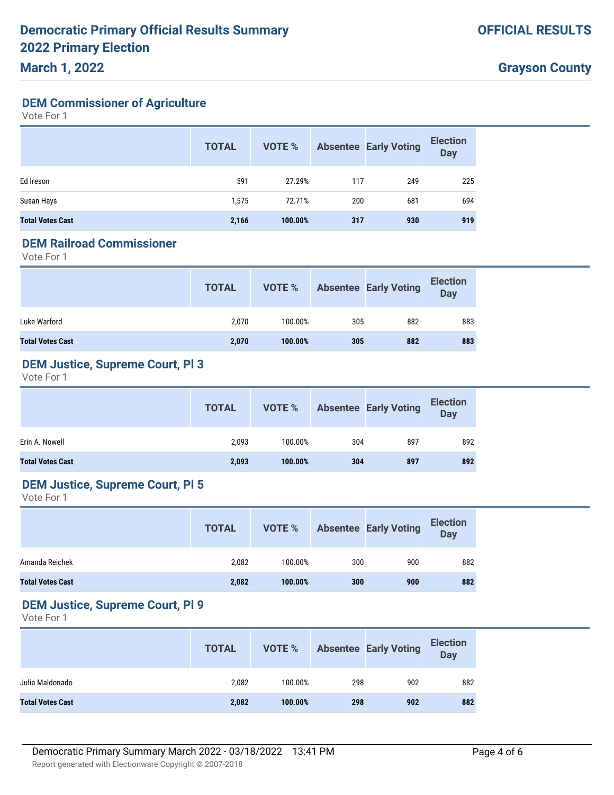### **March 1, 2022**

### **DEM Commissioner of Agriculture**

Vote For 1

|                         | <b>TOTAL</b> | <b>VOTE %</b> |     | <b>Absentee Early Voting</b> | <b>Election</b><br><b>Day</b> |
|-------------------------|--------------|---------------|-----|------------------------------|-------------------------------|
| Ed Ireson               | 591          | 27.29%        | 117 | 249                          | 225                           |
| Susan Hays              | 1,575        | 72.71%        | 200 | 681                          | 694                           |
| <b>Total Votes Cast</b> | 2,166        | 100.00%       | 317 | 930                          | 919                           |

### **DEM Railroad Commissioner**

Vote For 1

|                         | <b>TOTAL</b> | VOTE %  |     | <b>Absentee Early Voting</b> | <b>Election</b><br><b>Day</b> |
|-------------------------|--------------|---------|-----|------------------------------|-------------------------------|
| Luke Warford            | 2.070        | 100.00% | 305 | 882                          | 883                           |
| <b>Total Votes Cast</b> | 2,070        | 100.00% | 305 | 882                          | 883                           |

### **DEM Justice, Supreme Court, Pl 3**

Vote For 1

|                         | <b>TOTAL</b> | VOTE %  |     | Absentee Early Voting | <b>Election</b><br>Day |
|-------------------------|--------------|---------|-----|-----------------------|------------------------|
| Erin A. Nowell          | 2.093        | 100.00% | 304 | 897                   | 892                    |
| <b>Total Votes Cast</b> | 2,093        | 100.00% | 304 | 897                   | 892                    |

### **DEM Justice, Supreme Court, Pl 5**

Vote For 1

|                         | <b>TOTAL</b> | VOTE %  |     | <b>Absentee Early Voting</b> | <b>Election</b><br>Day |
|-------------------------|--------------|---------|-----|------------------------------|------------------------|
| Amanda Reichek          | 2,082        | 100.00% | 300 | 900                          | 882                    |
| <b>Total Votes Cast</b> | 2,082        | 100.00% | 300 | 900                          | 882                    |

#### **DEM Justice, Supreme Court, Pl 9**

|                         | <b>TOTAL</b> | VOTE %  |     | <b>Absentee Early Voting</b> | <b>Election</b><br>Day |
|-------------------------|--------------|---------|-----|------------------------------|------------------------|
| Julia Maldonado         | 2,082        | 100.00% | 298 | 902                          | 882                    |
| <b>Total Votes Cast</b> | 2,082        | 100.00% | 298 | 902                          | 882                    |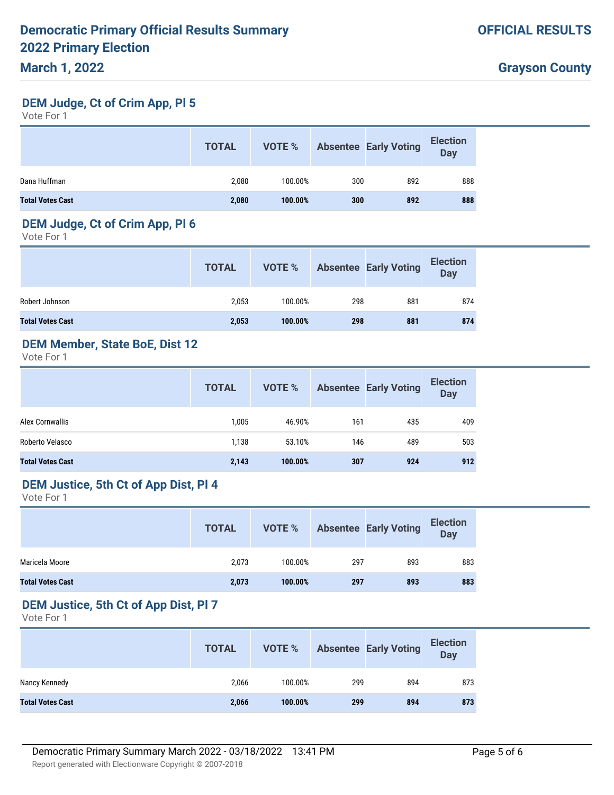#### **DEM Judge, Ct of Crim App, Pl 5**

Vote For 1

|                         | <b>TOTAL</b> | VOTE %  |     | <b>Absentee Early Voting</b> | <b>Election</b><br><b>Day</b> |
|-------------------------|--------------|---------|-----|------------------------------|-------------------------------|
| Dana Huffman            | 2,080        | 100.00% | 300 | 892                          | 888                           |
| <b>Total Votes Cast</b> | 2,080        | 100.00% | 300 | 892                          | 888                           |

#### **DEM Judge, Ct of Crim App, Pl 6**

Vote For 1

|                         | <b>TOTAL</b> | VOTE %  |     | <b>Absentee Early Voting</b> | <b>Election</b><br>Day |
|-------------------------|--------------|---------|-----|------------------------------|------------------------|
| Robert Johnson          | 2.053        | 100.00% | 298 | 881                          | 874                    |
| <b>Total Votes Cast</b> | 2,053        | 100.00% | 298 | 881                          | 874                    |

### **DEM Member, State BoE, Dist 12**

Vote For 1

|                         | <b>TOTAL</b> | VOTE %  |     | <b>Absentee Early Voting</b> | <b>Election</b><br>Day |
|-------------------------|--------------|---------|-----|------------------------------|------------------------|
| Alex Cornwallis         | 1,005        | 46.90%  | 161 | 435                          | 409                    |
| Roberto Velasco         | 1,138        | 53.10%  | 146 | 489                          | 503                    |
| <b>Total Votes Cast</b> | 2,143        | 100.00% | 307 | 924                          | 912                    |

### **DEM Justice, 5th Ct of App Dist, Pl 4**

Vote For 1

|                         | <b>TOTAL</b> | VOTE %  |     | <b>Absentee Early Voting</b> | <b>Election</b><br>Day |
|-------------------------|--------------|---------|-----|------------------------------|------------------------|
| Maricela Moore          | 2.073        | 100.00% | 297 | 893                          | 883                    |
| <b>Total Votes Cast</b> | 2,073        | 100.00% | 297 | 893                          | 883                    |

#### **DEM Justice, 5th Ct of App Dist, Pl 7**

|                         | <b>TOTAL</b> | VOTE %  |     | <b>Absentee Early Voting</b> | <b>Election</b><br><b>Day</b> |
|-------------------------|--------------|---------|-----|------------------------------|-------------------------------|
| Nancy Kennedy           | 2.066        | 100.00% | 299 | 894                          | 873                           |
| <b>Total Votes Cast</b> | 2,066        | 100.00% | 299 | 894                          | 873                           |